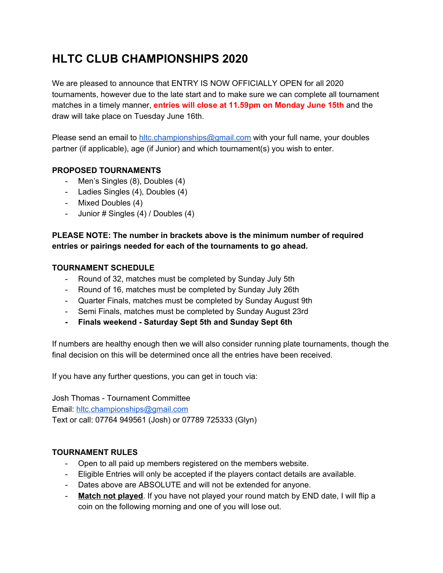# **HLTC CLUB CHAMPIONSHIPS 2020**

We are pleased to announce that ENTRY IS NOW OFFICIALLY OPEN for all 2020 tournaments, however due to the late start and to make sure we can complete all tournament matches in a timely manner, **entries will close at 11.59pm on Monday June 15th** and the draw will take place on Tuesday June 16th.

Please send an email to hitc.championships@gmail.com with your full name, your doubles partner (if applicable), age (if Junior) and which tournament(s) you wish to enter.

# **PROPOSED TOURNAMENTS**

- Men's Singles (8), Doubles (4)
- Ladies Singles (4), Doubles (4)
- Mixed Doubles (4)
- Junior # Singles (4) / Doubles (4)

# **PLEASE NOTE: The number in brackets above is the minimum number of required entries or pairings needed for each of the tournaments to go ahead.**

### **TOURNAMENT SCHEDULE**

- Round of 32, matches must be completed by Sunday July 5th
- Round of 16, matches must be completed by Sunday July 26th
- Quarter Finals, matches must be completed by Sunday August 9th
- Semi Finals, matches must be completed by Sunday August 23rd
- **- Finals weekend - Saturday Sept 5th and Sunday Sept 6th**

If numbers are healthy enough then we will also consider running plate tournaments, though the final decision on this will be determined once all the entries have been received.

If you have any further questions, you can get in touch via:

Josh Thomas - Tournament Committee Email: [hltc.championships@gmail.com](mailto:hltc.championships@gmail.com) Text or call: 07764 949561 (Josh) or 07789 725333 (Glyn)

### **TOURNAMENT RULES**

- Open to all paid up members registered on the members website.
- Eligible Entries will only be accepted if the players contact details are available.
- Dates above are ABSOLUTE and will not be extended for anyone.
- **Match not played**. If you have not played your round match by END date, I will flip a coin on the following morning and one of you will lose out.